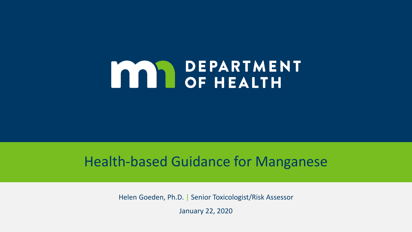# **MAN DEPARTMENT**

#### Health-based Guidance for Manganese

Helen Goeden, Ph.D. | Senior Toxicologist/Risk Assessor

January 22, 2020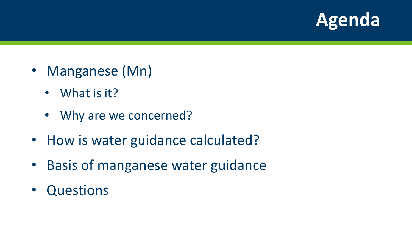

- Manganese (Mn)
	- What is it?
	- Why are we concerned?
- How is water guidance calculated?
- Basis of manganese water guidance
- Questions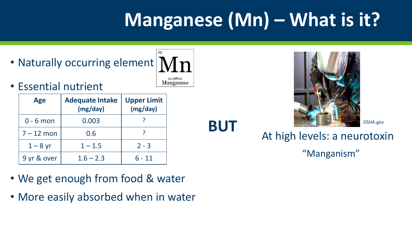# **Manganese (Mn) – What is it?**

**BUT**

• Naturally occurring element

54.938045 Manganese

• Essential nutrient

| <b>Age</b>   | <b>Adequate Intake</b><br>(mg/day) | <b>Upper Limit</b><br>(mg/day) |
|--------------|------------------------------------|--------------------------------|
| $0 - 6$ mon  | 0.003                              |                                |
| $7 - 12$ mon | 0.6                                |                                |
| $1 - 8$ yr   | $1 - 1.5$                          | $2 - 3$                        |
| 9 yr & over  | $1.6 - 2.3$                        | $6 - 11$                       |

- We get enough from food & water
- More easily absorbed when in water



OSHA.gov

# At high levels: a neurotoxin

"Manganism"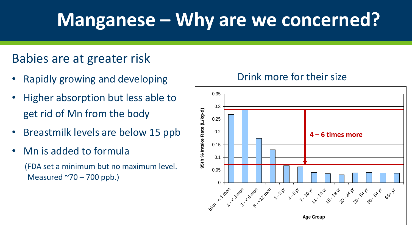# **Manganese – Why are we concerned?**

#### Babies are at greater risk

- Rapidly growing and developing
- Higher absorption but less able to get rid of Mn from the body
- Breastmilk levels are below 15 ppb
- Mn is added to formula (FDA set a minimum but no maximum level. Measured  $\sim$ 70 – 700 ppb.)

#### Drink more for their size

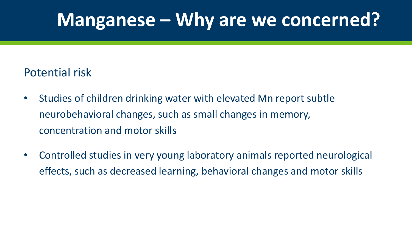# **Manganese – Why are we concerned?**

#### Potential risk

- Studies of children drinking water with elevated Mn report subtle neurobehavioral changes, such as small changes in memory, concentration and motor skills
- Controlled studies in very young laboratory animals reported neurological effects, such as decreased learning, behavioral changes and motor skills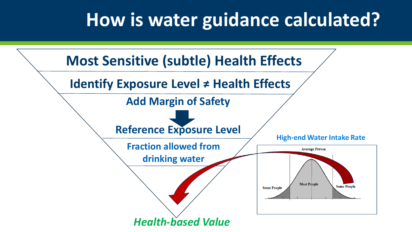# **How is water guidance calculated?**

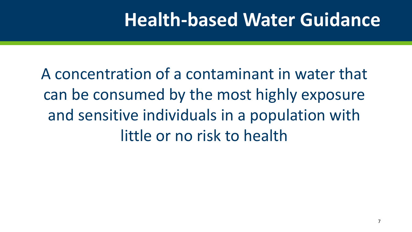## **Health-based Water Guidance**

A concentration of a contaminant in water that can be consumed by the most highly exposure and sensitive individuals in a population with little or no risk to health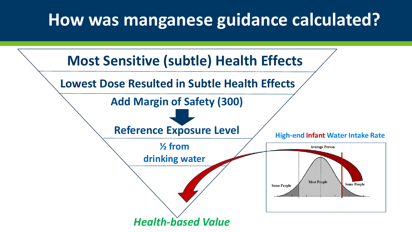### **How was manganese guidance calculated?**

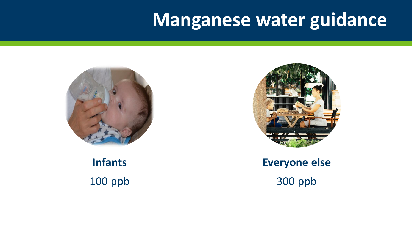### **Manganese water guidance**



**Infants** 100 ppb



#### **Everyone else** 300 ppb